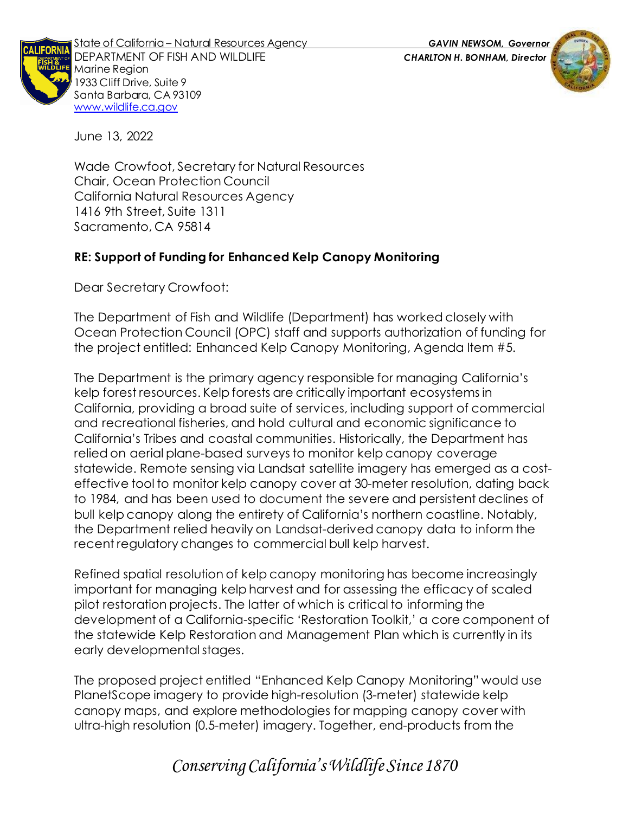

State of California – Natural Resources Agency *GAVIN NEWSOM, Governor* DEPARTMENT OF FISH AND WILDLIFE *CHARLTON H. BONHAM, Director* Marine Region 1933 Cliff Drive, Suite 9 Santa Barbara, CA 93109 [www.wildlife.ca.gov](http://www.wildlife.ca.gov/)

June 13, 2022

Wade Crowfoot, Secretary for Natural Resources Chair, Ocean Protection Council California Natural Resources Agency 1416 9th Street, Suite 1311 Sacramento, CA 95814

## **RE: Support of Funding for Enhanced Kelp Canopy Monitoring**

Dear Secretary Crowfoot:

The Department of Fish and Wildlife (Department) has worked closely with Ocean Protection Council (OPC) staff and supports authorization of funding for the project entitled: Enhanced Kelp Canopy Monitoring, Agenda Item #5.

The Department is the primary agency responsible for managing California's kelp forest resources. Kelp forests are critically important ecosystems in California, providing a broad suite of services, including support of commercial and recreational fisheries, and hold cultural and economic significance to California's Tribes and coastal communities. Historically, the Department has relied on aerial plane-based surveys to monitor kelp canopy coverage statewide. Remote sensing via Landsat satellite imagery has emerged as a costeffective tool to monitor kelp canopy cover at 30-meter resolution, dating back to 1984, and has been used to document the severe and persistent declines of bull kelp canopy along the entirety of California's northern coastline. Notably, the Department relied heavily on Landsat-derived canopy data to inform the recent regulatory changes to commercial bull kelp harvest.

Refined spatial resolution of kelp canopy monitoring has become increasingly important for managing kelp harvest and for assessing the efficacy of scaled pilot restoration projects. The latter of which is critical to informing the development of a California-specific 'Restoration Toolkit,' a core component of the statewide Kelp Restoration and Management Plan which is currently in its early developmental stages.

The proposed project entitled "Enhanced Kelp Canopy Monitoring" would use PlanetScope imagery to provide high-resolution (3-meter) statewide kelp canopy maps, and explore methodologies for mapping canopy cover with ultra-high resolution (0.5-meter) imagery. Together, end-products from the

## *Conserving California's Wildlife Since 1870*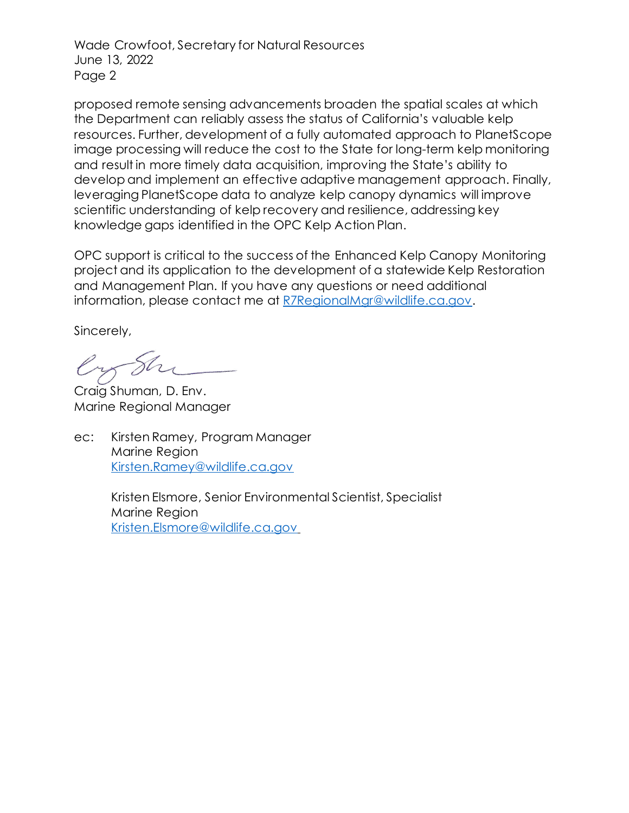Wade Crowfoot, Secretary for Natural Resources June 13, 2022 Page 2

proposed remote sensing advancements broaden the spatial scales at which the Department can reliably assess the status of California's valuable kelp resources. Further, development of a fully automated approach to PlanetScope image processing will reduce the cost to the State for long-term kelp monitoring and result in more timely data acquisition, improving the State's ability to develop and implement an effective adaptive management approach. Finally, leveraging PlanetScope data to analyze kelp canopy dynamics will improve scientific understanding of kelp recovery and resilience, addressing key knowledge gaps identified in the OPC Kelp Action Plan.

OPC support is critical to the success of the Enhanced Kelp Canopy Monitoring project and its application to the development of a statewide Kelp Restoration and Management Plan. If you have any questions or need additional information, please contact me at [R7RegionalMgr@wildlife.ca.gov.](mailto:R7RegionalMgr@wildlife.ca.gov)

Sincerely,

Craig Shuman, D. Env. Marine Regional Manager

ec: Kirsten Ramey, Program Manager Marine Region [Kirsten.Ramey@wildlife.ca.gov](mailto:Kirsten.Ramey@wildlife.ca.gov)

> Kristen Elsmore, Senior Environmental Scientist, Specialist Marine Region Kristen.Elsmore@wildlife.ca.gov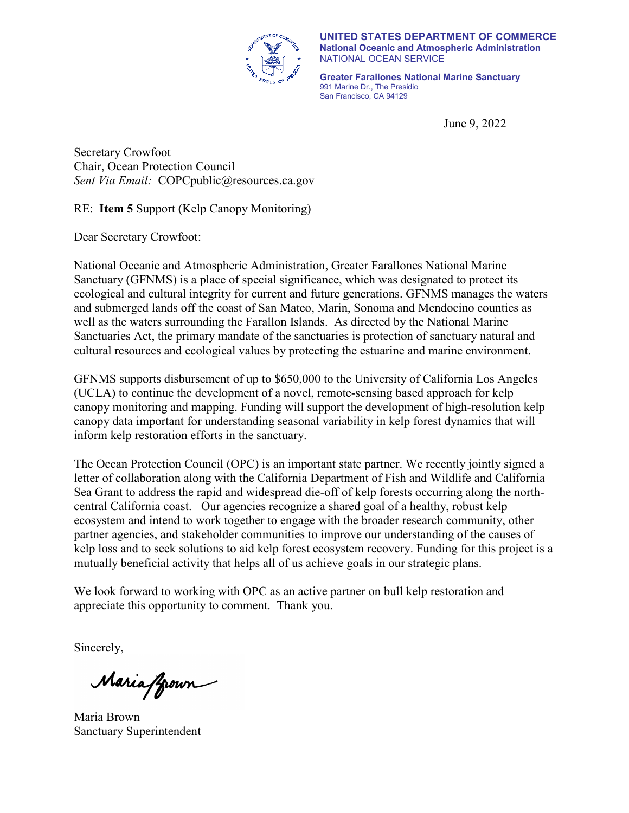

**UNITED STATES DEPARTMENT OF COMMERCE National Oceanic and Atmospheric Administration** NATIONAL OCEAN SERVICE

**Greater Farallones National Marine Sanctuary** 991 Marine Dr., The Presidio San Francisco, CA 94129

June 9, 2022

Secretary Crowfoot Chair, Ocean Protection Council *Sent Via Email:* COPCpublic@resources.ca.gov

RE: **Item 5** Support (Kelp Canopy Monitoring)

Dear Secretary Crowfoot:

National Oceanic and Atmospheric Administration, Greater Farallones National Marine Sanctuary (GFNMS) is a place of special significance, which was designated to protect its ecological and cultural integrity for current and future generations. GFNMS manages the waters and submerged lands off the coast of San Mateo, Marin, Sonoma and Mendocino counties as well as the waters surrounding the Farallon Islands. As directed by the National Marine Sanctuaries Act, the primary mandate of the sanctuaries is protection of sanctuary natural and cultural resources and ecological values by protecting the estuarine and marine environment.

GFNMS supports disbursement of up to \$650,000 to the University of California Los Angeles (UCLA) to continue the development of a novel, remote-sensing based approach for kelp canopy monitoring and mapping. Funding will support the development of high-resolution kelp canopy data important for understanding seasonal variability in kelp forest dynamics that will inform kelp restoration efforts in the sanctuary.

The Ocean Protection Council (OPC) is an important state partner. We recently jointly signed a letter of collaboration along with the California Department of Fish and Wildlife and California Sea Grant to address the rapid and widespread die-off of kelp forests occurring along the northcentral California coast. Our agencies recognize a shared goal of a healthy, robust kelp ecosystem and intend to work together to engage with the broader research community, other partner agencies, and stakeholder communities to improve our understanding of the causes of kelp loss and to seek solutions to aid kelp forest ecosystem recovery. Funding for this project is a mutually beneficial activity that helps all of us achieve goals in our strategic plans.

We look forward to working with OPC as an active partner on bull kelp restoration and appreciate this opportunity to comment. Thank you.

Sincerely,

Maria froun

Maria Brown Sanctuary Superintendent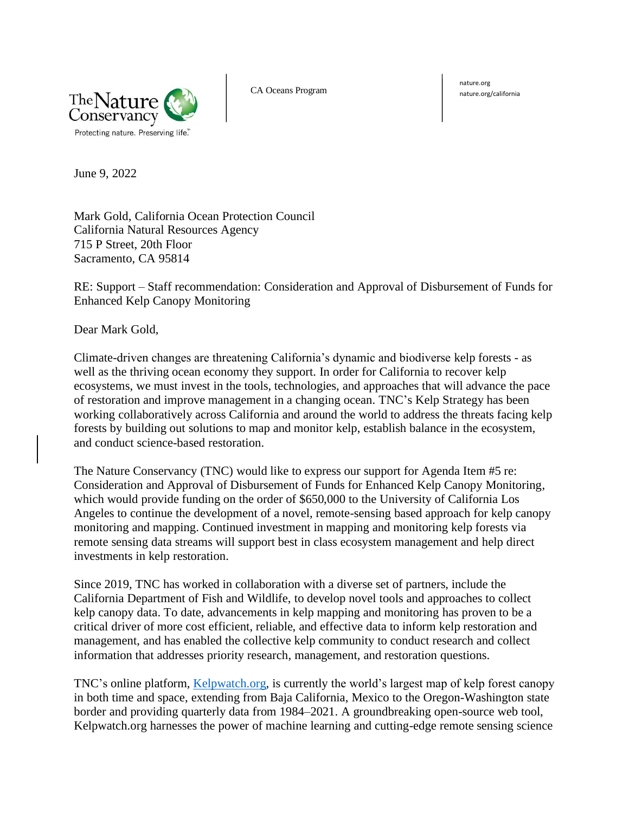

CA Oceans Program nature.org/california

nature.org

June 9, 2022

Mark Gold, California Ocean Protection Council California Natural Resources Agency 715 P Street, 20th Floor Sacramento, CA 95814

RE: Support – Staff recommendation: Consideration and Approval of Disbursement of Funds for Enhanced Kelp Canopy Monitoring

Dear Mark Gold,

Climate-driven changes are threatening California's dynamic and biodiverse kelp forests - as well as the thriving ocean economy they support. In order for California to recover kelp ecosystems, we must invest in the tools, technologies, and approaches that will advance the pace of restoration and improve management in a changing ocean. TNC's Kelp Strategy has been working collaboratively across California and around the world to address the threats facing kelp forests by building out solutions to map and monitor kelp, establish balance in the ecosystem, and conduct science-based restoration.

The Nature Conservancy (TNC) would like to express our support for Agenda Item #5 re: Consideration and Approval of Disbursement of Funds for Enhanced Kelp Canopy Monitoring, which would provide funding on the order of \$650,000 to the University of California Los Angeles to continue the development of a novel, remote-sensing based approach for kelp canopy monitoring and mapping. Continued investment in mapping and monitoring kelp forests via remote sensing data streams will support best in class ecosystem management and help direct investments in kelp restoration.

Since 2019, TNC has worked in collaboration with a diverse set of partners, include the California Department of Fish and Wildlife, to develop novel tools and approaches to collect kelp canopy data. To date, advancements in kelp mapping and monitoring has proven to be a critical driver of more cost efficient, reliable, and effective data to inform kelp restoration and management, and has enabled the collective kelp community to conduct research and collect information that addresses priority research, management, and restoration questions.

TNC's online platform, [Kelpwatch.org,](https://kelpwatch.org/) is currently the world's largest map of kelp forest canopy in both time and space, extending from Baja California, Mexico to the Oregon-Washington state border and providing quarterly data from 1984–2021. A groundbreaking open-source web tool, Kelpwatch.org harnesses the power of machine learning and cutting-edge remote sensing science